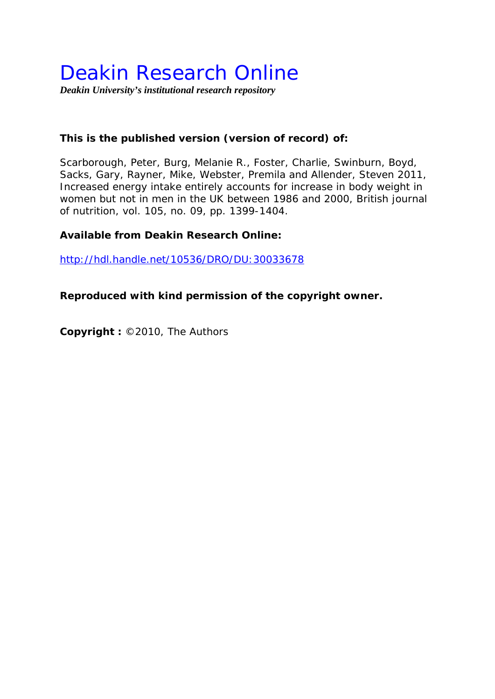# Deakin Research Online

*Deakin University's institutional research repository* 

# **This is the published version (version of record) of:**

Scarborough, Peter, Burg, Melanie R., Foster, Charlie, Swinburn, Boyd, Sacks, Gary, Rayner, Mike, Webster, Premila and Allender, Steven 2011, Increased energy intake entirely accounts for increase in body weight in women but not in men in the UK between 1986 and 2000*, British journal of nutrition*, vol. 105, no. 09, pp. 1399-1404.

## **Available from Deakin Research Online:**

http://hdl.handle.net/10536/DRO/DU:30033678

**Reproduced with kind permission of the copyright owner.** 

**Copyright :** ©2010, The Authors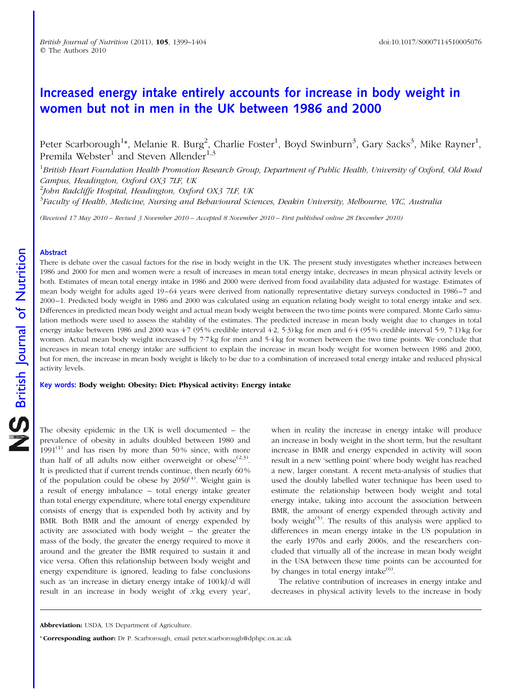# Increased energy intake entirely accounts for increase in body weight in women but not in men in the UK between 1986 and 2000

Peter Scarborough<sup>1</sup>\*, Melanie R. Burg<sup>2</sup>, Charlie Foster<sup>1</sup>, Boyd Swinburn<sup>3</sup>, Gary Sacks<sup>3</sup>, Mike Rayner<sup>1</sup>, Premila Webster<sup>1</sup> and Steven Allender<sup>1,3</sup>

 $^1$ British Heart Foundation Health Promotion Research Group, Department of Public Health, University of Oxford, Old Road Campus, Headington, Oxford OX3 7LF, UK

 $^{2}$ John Radcliffe Hospital, Headington, Oxford OX3 7LF, UK

<sup>3</sup>Faculty of Health, Medicine, Nursing and Behavioural Sciences, Deakin University, Melbourne, VIC, Australia

(Received 17 May 2010 – Revised 3 November 2010 – Accepted 8 November 2010 – First published online 28 December 2010)

## Abstract

There is debate over the casual factors for the rise in body weight in the UK. The present study investigates whether increases between 1986 and 2000 for men and women were a result of increases in mean total energy intake, decreases in mean physical activity levels or both. Estimates of mean total energy intake in 1986 and 2000 were derived from food availability data adjusted for wastage. Estimates of mean body weight for adults aged 19–64 years were derived from nationally representative dietary surveys conducted in 1986–7 and 2000–1. Predicted body weight in 1986 and 2000 was calculated using an equation relating body weight to total energy intake and sex. Differences in predicted mean body weight and actual mean body weight between the two time points were compared. Monte Carlo simulation methods were used to assess the stability of the estimates. The predicted increase in mean body weight due to changes in total energy intake between 1986 and 2000 was 4·7 (95% credible interval 4·2, 5·3) kg for men and 6·4 (95% credible interval 5·9, 7·1) kg for women. Actual mean body weight increased by 7·7 kg for men and 5·4 kg for women between the two time points. We conclude that increases in mean total energy intake are sufficient to explain the increase in mean body weight for women between 1986 and 2000, but for men, the increase in mean body weight is likely to be due to a combination of increased total energy intake and reduced physical activity levels.

Key words: Body weight: Obesity: Diet: Physical activity: Energy intake

The obesity epidemic in the UK is well documented – the prevalence of obesity in adults doubled between 1980 and  $1991^{(1)}$  and has risen by more than 50% since, with more than half of all adults now either overweight or obese<sup> $(2,3)$ </sup>. It is predicted that if current trends continue, then nearly 60 % of the population could be obese by  $2050^{(4)}$ . Weight gain is a result of energy imbalance – total energy intake greater than total energy expenditure, where total energy expenditure consists of energy that is expended both by activity and by BMR. Both BMR and the amount of energy expended by activity are associated with body weight – the greater the mass of the body, the greater the energy required to move it around and the greater the BMR required to sustain it and vice versa. Often this relationship between body weight and energy expenditure is ignored, leading to false conclusions such as 'an increase in dietary energy intake of 100 kJ/d will result in an increase in body weight of  $x \nmid x$  every year',

when in reality the increase in energy intake will produce an increase in body weight in the short term, but the resultant increase in BMR and energy expended in activity will soon result in a new 'settling point' where body weight has reached a new, larger constant. A recent meta-analysis of studies that used the doubly labelled water technique has been used to estimate the relationship between body weight and total energy intake, taking into account the association between BMR, the amount of energy expended through activity and body weight<sup>(5)</sup>. The results of this analysis were applied to differences in mean energy intake in the US population in the early 1970s and early 2000s, and the researchers concluded that virtually all of the increase in mean body weight in the USA between these time points can be accounted for by changes in total energy intake<sup>(6)</sup>.

The relative contribution of increases in energy intake and decreases in physical activity levels to the increase in body

Abbreviation: USDA, US Department of Agriculture.

<sup>\*</sup> Corresponding author: Dr P. Scarborough, email peter.scarborough@dphpc.ox.ac.uk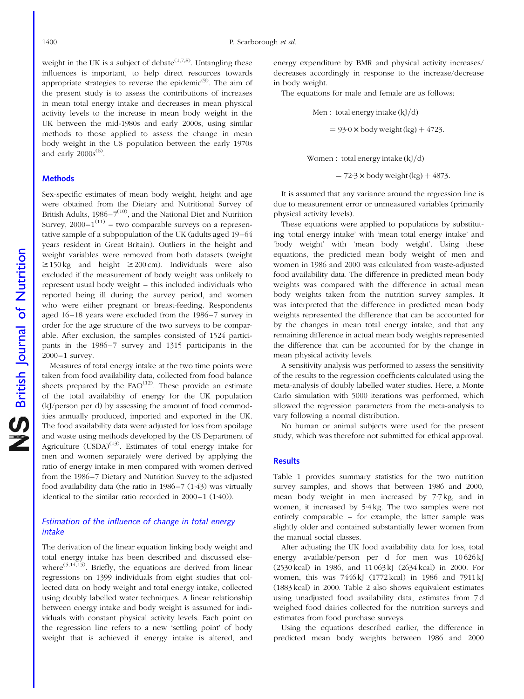weight in the UK is a subject of debate<sup> $(1,7,8)$ </sup>. Untangling these influences is important, to help direct resources towards appropriate strategies to reverse the epidemic $(9)$ . The aim of the present study is to assess the contributions of increases in mean total energy intake and decreases in mean physical activity levels to the increase in mean body weight in the UK between the mid-1980s and early 2000s, using similar methods to those applied to assess the change in mean body weight in the US population between the early 1970s and early  $2000s^{(6)}$ .

#### **Methods**

Sex-specific estimates of mean body weight, height and age were obtained from the Dietary and Nutritional Survey of British Adults,  $1986 - 7^{(10)}$ , and the National Diet and Nutrition Survey,  $2000-1^{(11)}$  – two comparable surveys on a representative sample of a subpopulation of the UK (adults aged 19–64 years resident in Great Britain). Outliers in the height and weight variables were removed from both datasets (weight  $\geq 150 \text{ kg}$  and height  $\geq 200 \text{ cm}$ ). Individuals were also excluded if the measurement of body weight was unlikely to represent usual body weight – this included individuals who reported being ill during the survey period, and women who were either pregnant or breast-feeding. Respondents aged 16–18 years were excluded from the 1986–7 survey in order for the age structure of the two surveys to be comparable. After exclusion, the samples consisted of 1524 participants in the 1986–7 survey and 1315 participants in the 2000–1 survey.

Measures of total energy intake at the two time points were taken from food availability data, collected from food balance sheets prepared by the  $FAO^{(12)}$ . These provide an estimate of the total availability of energy for the UK population (kJ/person per d) by assessing the amount of food commodities annually produced, imported and exported in the UK. The food availability data were adjusted for loss from spoilage and waste using methods developed by the US Department of Agriculture  $(USDA)^{(13)}$ . Estimates of total energy intake for men and women separately were derived by applying the ratio of energy intake in men compared with women derived from the 1986–7 Dietary and Nutrition Survey to the adjusted food availability data (the ratio in 1986–7 (1·43) was virtually identical to the similar ratio recorded in 2000–1 (1·40)).

## Estimation of the influence of change in total energy intake

The derivation of the linear equation linking body weight and total energy intake has been described and discussed elsewhere<sup> $(5,14,15)$ </sup>. Briefly, the equations are derived from linear regressions on 1399 individuals from eight studies that collected data on body weight and total energy intake, collected using doubly labelled water techniques. A linear relationship between energy intake and body weight is assumed for individuals with constant physical activity levels. Each point on the regression line refers to a new 'settling point' of body weight that is achieved if energy intake is altered, and

energy expenditure by BMR and physical activity increases/ decreases accordingly in response to the increase/decrease in body weight.

The equations for male and female are as follows:

Men : total energy intake (kJ/d)  
= 
$$
93.0 \times
$$
 body weight (kg) + 4723.

Women : total energy intake  $(kJ/d)$ 

 $= 72.3 \times$  body weight (kg) + 4873.

It is assumed that any variance around the regression line is due to measurement error or unmeasured variables (primarily physical activity levels).

These equations were applied to populations by substituting 'total energy intake' with 'mean total energy intake' and 'body weight' with 'mean body weight'. Using these equations, the predicted mean body weight of men and women in 1986 and 2000 was calculated from waste-adjusted food availability data. The difference in predicted mean body weights was compared with the difference in actual mean body weights taken from the nutrition survey samples. It was interpreted that the difference in predicted mean body weights represented the difference that can be accounted for by the changes in mean total energy intake, and that any remaining difference in actual mean body weights represented the difference that can be accounted for by the change in mean physical activity levels.

A sensitivity analysis was performed to assess the sensitivity of the results to the regression coefficients calculated using the meta-analysis of doubly labelled water studies. Here, a Monte Carlo simulation with 5000 iterations was performed, which allowed the regression parameters from the meta-analysis to vary following a normal distribution.

No human or animal subjects were used for the present study, which was therefore not submitted for ethical approval.

### **Results**

[Table 1](#page-3-0) provides summary statistics for the two nutrition survey samples, and shows that between 1986 and 2000, mean body weight in men increased by 7·7 kg, and in women, it increased by 5·4 kg. The two samples were not entirely comparable – for example, the latter sample was slightly older and contained substantially fewer women from the manual social classes.

After adjusting the UK food availability data for loss, total energy available/person per d for men was  $10626 \text{ kJ}$ (2530 kcal) in 1986, and 11 063 kJ (2634 kcal) in 2000. For women, this was 7446 kJ (1772 kcal) in 1986 and 7911 kJ (1883 kcal) in 2000. [Table 2](#page-3-0) also shows equivalent estimates using unadjusted food availability data, estimates from 7 d weighed food dairies collected for the nutrition surveys and estimates from food purchase surveys.

Using the equations described earlier, the difference in predicted mean body weights between 1986 and 2000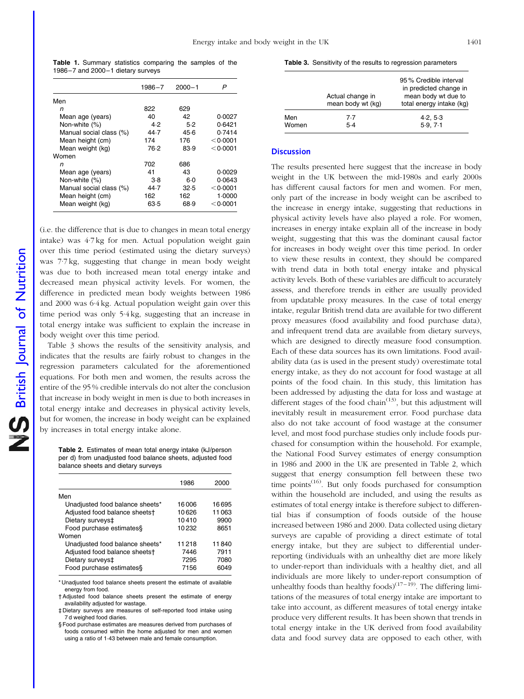<span id="page-3-0"></span>Table 1. Summary statistics comparing the samples of the 1986–7 and 2000–1 dietary surveys

|                         | $1986 - 7$ | $2000 - 1$ | P                      |
|-------------------------|------------|------------|------------------------|
| Men                     |            |            |                        |
| n                       | 822        | 629        |                        |
| Mean age (years)        | 40         | 42         | 0.0027                 |
| Non-white (%)           | 4.2        | 5.2        | 0.6421                 |
| Manual social class (%) | 44.7       | 45.6       | 0.7414                 |
| Mean height (cm)        | 174        | 176        | $<$ 0.0001             |
| Mean weight (kg)        | 76.2       | 83.9       | < 0.0001               |
| Women                   |            |            |                        |
| n                       | 702        | 686        |                        |
| Mean age (years)        | 41         | 43         | 0.0029                 |
| Non-white (%)           | $3-8$      | $6-0$      | 0.0643                 |
| Manual social class (%) | 44.7       | 32.5       | $<$ 0.0001             |
| Mean height (cm)        | 162        | 162        | 1.0000                 |
| Mean weight (kg)        | 63.5       | 68.9       | $<$ 0 $\cdot$ 0001 $<$ |

(i.e. the difference that is due to changes in mean total energy intake) was 4·7 kg for men. Actual population weight gain over this time period (estimated using the dietary surveys) was 7·7 kg, suggesting that change in mean body weight was due to both increased mean total energy intake and decreased mean physical activity levels. For women, the difference in predicted mean body weights between 1986 and 2000 was 6·4 kg. Actual population weight gain over this time period was only 5·4 kg, suggesting that an increase in total energy intake was sufficient to explain the increase in body weight over this time period.

Table 3 shows the results of the sensitivity analysis, and indicates that the results are fairly robust to changes in the regression parameters calculated for the aforementioned equations. For both men and women, the results across the entire of the 95 % credible intervals do not alter the conclusion that increase in body weight in men is due to both increases in total energy intake and decreases in physical activity levels, but for women, the increase in body weight can be explained by increases in total energy intake alone.

Table 2. Estimates of mean total energy intake (kJ/person per d) from unadjusted food balance sheets, adjusted food balance sheets and dietary surveys

|                                 | 1986  | 2000  |
|---------------------------------|-------|-------|
| Men                             |       |       |
| Unadjusted food balance sheets* | 16006 | 16695 |
| Adjusted food balance sheets†   | 10626 | 11063 |
| Dietary surveys <sup>‡</sup>    | 10410 | 9900  |
| Food purchase estimates§        | 10232 | 8651  |
| Women                           |       |       |
| Unadjusted food balance sheets* | 11218 | 11840 |
| Adjusted food balance sheetst   | 7446  | 7911  |
| Dietary surveys <sup>‡</sup>    | 7295  | 7080  |
| Food purchase estimates§        | 7156  | 6049  |

\* Unadjusted food balance sheets present the estimate of available energy from food.

† Adjusted food balance sheets present the estimate of energy availability adjusted for wastage.

‡ Dietary surveys are measures of self-reported food intake using 7 d weighed food diaries.

§ Food purchase estimates are measures derived from purchases of foods consumed within the home adjusted for men and women using a ratio of 1·43 between male and female consumption.

Table 3. Sensitivity of the results to regression parameters

|       | Actual change in<br>mean body wt (kg) | 95% Credible interval<br>in predicted change in<br>mean body wt due to<br>total energy intake (kg) |
|-------|---------------------------------------|----------------------------------------------------------------------------------------------------|
| Men   | 7.7                                   | 4.2, 5.3                                                                                           |
| Women | 5.4                                   | 5.9.7.1                                                                                            |

#### **Discussion**

The results presented here suggest that the increase in body weight in the UK between the mid-1980s and early 2000s has different causal factors for men and women. For men, only part of the increase in body weight can be ascribed to the increase in energy intake, suggesting that reductions in physical activity levels have also played a role. For women, increases in energy intake explain all of the increase in body weight, suggesting that this was the dominant causal factor for increases in body weight over this time period. In order to view these results in context, they should be compared with trend data in both total energy intake and physical activity levels. Both of these variables are difficult to accurately assess, and therefore trends in either are usually provided from updatable proxy measures. In the case of total energy intake, regular British trend data are available for two different proxy measures (food availability and food purchase data), and infrequent trend data are available from dietary surveys, which are designed to directly measure food consumption. Each of these data sources has its own limitations. Food availability data (as is used in the present study) overestimate total energy intake, as they do not account for food wastage at all points of the food chain. In this study, this limitation has been addressed by adjusting the data for loss and wastage at different stages of the food chain<sup> $(13)$ </sup>, but this adjustment will inevitably result in measurement error. Food purchase data also do not take account of food wastage at the consumer level, and most food purchase studies only include foods purchased for consumption within the household. For example, the National Food Survey estimates of energy consumption in 1986 and 2000 in the UK are presented in Table 2, which suggest that energy consumption fell between these two time points<sup> $(16)$ </sup>. But only foods purchased for consumption within the household are included, and using the results as estimates of total energy intake is therefore subject to differential bias if consumption of foods outside of the house increased between 1986 and 2000. Data collected using dietary surveys are capable of providing a direct estimate of total energy intake, but they are subject to differential underreporting (individuals with an unhealthy diet are more likely to under-report than individuals with a healthy diet, and all individuals are more likely to under-report consumption of unhealthy foods than healthy foods)<sup> $(17-19)$ </sup>. The differing limitations of the measures of total energy intake are important to take into account, as different measures of total energy intake produce very different results. It has been shown that trends in total energy intake in the UK derived from food availability data and food survey data are opposed to each other, with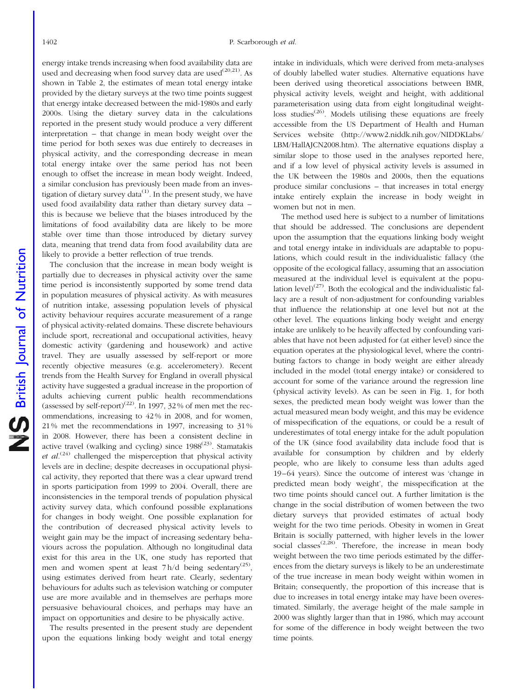energy intake trends increasing when food availability data are used and decreasing when food survey data are used<sup> $(20,21)$ </sup>. As shown in [Table 2](#page-3-0), the estimates of mean total energy intake provided by the dietary surveys at the two time points suggest that energy intake decreased between the mid-1980s and early 2000s. Using the dietary survey data in the calculations reported in the present study would produce a very different interpretation – that change in mean body weight over the time period for both sexes was due entirely to decreases in physical activity, and the corresponding decrease in mean total energy intake over the same period has not been enough to offset the increase in mean body weight. Indeed, a similar conclusion has previously been made from an investigation of dietary survey data $^{(1)}$ . In the present study, we have used food availability data rather than dietary survey data – this is because we believe that the biases introduced by the limitations of food availability data are likely to be more stable over time than those introduced by dietary survey data, meaning that trend data from food availability data are likely to provide a better reflection of true trends.

The conclusion that the increase in mean body weight is partially due to decreases in physical activity over the same time period is inconsistently supported by some trend data in population measures of physical activity. As with measures of nutrition intake, assessing population levels of physical activity behaviour requires accurate measurement of a range of physical activity-related domains. These discrete behaviours include sport, recreational and occupational activities, heavy domestic activity (gardening and housework) and active travel. They are usually assessed by self-report or more recently objective measures (e.g. accelerometery). Recent trends from the Health Survey for England in overall physical activity have suggested a gradual increase in the proportion of adults achieving current public health recommendations (assessed by self-report)<sup>(22)</sup>. In 1997, 32% of men met the recommendations, increasing to 42 % in 2008, and for women, 21 % met the recommendations in 1997, increasing to 31 % in 2008. However, there has been a consistent decline in active travel (walking and cycling) since  $1988^{(23)}$ . Stamatakis et  $al^{(24)}$  challenged the misperception that physical activity levels are in decline; despite decreases in occupational physical activity, they reported that there was a clear upward trend in sports participation from 1999 to 2004. Overall, there are inconsistencies in the temporal trends of population physical activity survey data, which confound possible explanations for changes in body weight. One possible explanation for the contribution of decreased physical activity levels to weight gain may be the impact of increasing sedentary behaviours across the population. Although no longitudinal data exist for this area in the UK, one study has reported that men and women spent at least 7 h/d being sedentary<sup>(25)</sup>, using estimates derived from heart rate. Clearly, sedentary behaviours for adults such as television watching or computer use are more available and in themselves are perhaps more persuasive behavioural choices, and perhaps may have an impact on opportunities and desire to be physically active.

The results presented in the present study are dependent upon the equations linking body weight and total energy

intake in individuals, which were derived from meta-analyses of doubly labelled water studies. Alternative equations have been derived using theoretical associations between BMR, physical activity levels, weight and height, with additional parameterisation using data from eight longitudinal weightloss studies<sup> $(26)$ </sup>. Models utilising these equations are freely accessible from the US Department of Health and Human Services website (http://www2.niddk.nih.gov/NIDDKLabs/ LBM/HallAJCN2008.htm). The alternative equations display a similar slope to those used in the analyses reported here, and if a low level of physical activity levels is assumed in the UK between the 1980s and 2000s, then the equations produce similar conclusions – that increases in total energy intake entirely explain the increase in body weight in women but not in men.

The method used here is subject to a number of limitations that should be addressed. The conclusions are dependent upon the assumption that the equations linking body weight and total energy intake in individuals are adaptable to populations, which could result in the individualistic fallacy (the opposite of the ecological fallacy, assuming that an association measured at the individual level is equivalent at the population level)<sup> $(27)$ </sup>. Both the ecological and the individualistic fallacy are a result of non-adjustment for confounding variables that influence the relationship at one level but not at the other level. The equations linking body weight and energy intake are unlikely to be heavily affected by confounding variables that have not been adjusted for (at either level) since the equation operates at the physiological level, where the contributing factors to change in body weight are either already included in the model (total energy intake) or considered to account for some of the variance around the regression line (physical activity levels). As can be seen in [Fig. 1](#page-5-0), for both sexes, the predicted mean body weight was lower than the actual measured mean body weight, and this may be evidence of misspecification of the equations, or could be a result of underestimates of total energy intake for the adult population of the UK (since food availability data include food that is available for consumption by children and by elderly people, who are likely to consume less than adults aged 19–64 years). Since the outcome of interest was 'change in predicted mean body weight', the misspecification at the two time points should cancel out. A further limitation is the change in the social distribution of women between the two dietary surveys that provided estimates of actual body weight for the two time periods. Obesity in women in Great Britain is socially patterned, with higher levels in the lower social classes<sup> $(2,28)$ </sup>. Therefore, the increase in mean body weight between the two time periods estimated by the differences from the dietary surveys is likely to be an underestimate of the true increase in mean body weight within women in Britain; consequently, the proportion of this increase that is due to increases in total energy intake may have been overestimated. Similarly, the average height of the male sample in 2000 was slightly larger than that in 1986, which may account for some of the difference in body weight between the two time points.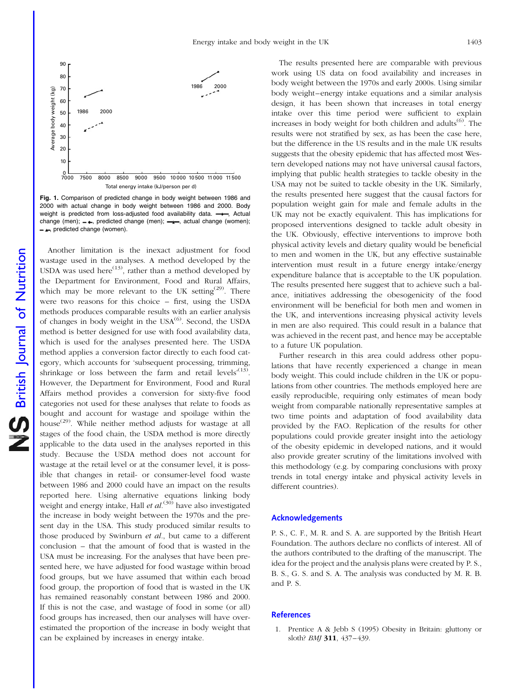<span id="page-5-0"></span>

Fig. 1. Comparison of predicted change in body weight between 1986 and 2000 with actual change in body weight between 1986 and 2000. Body weight is predicted from loss-adjusted food availability data. --, Actual change (men);  $-\leftarrow$ , predicted change (men);  $-\leftarrow$ , actual change (women); --, predicted change (women).

Another limitation is the inexact adjustment for food wastage used in the analyses. A method developed by the USDA was used here<sup> $(13)$ </sup>, rather than a method developed by the Department for Environment, Food and Rural Affairs, which may be more relevant to the UK setting<sup>(29)</sup>. There were two reasons for this choice – first, using the USDA methods produces comparable results with an earlier analysis of changes in body weight in the  $USA^{(6)}$ . Second, the USDA method is better designed for use with food availability data, which is used for the analyses presented here. The USDA method applies a conversion factor directly to each food category, which accounts for 'subsequent processing, trimming, shrinkage or loss between the farm and retail levels<sup> $(13)$ </sup>. However, the Department for Environment, Food and Rural Affairs method provides a conversion for sixty-five food categories not used for these analyses that relate to foods as bought and account for wastage and spoilage within the house<sup>(29)</sup>. While neither method adjusts for wastage at all stages of the food chain, the USDA method is more directly applicable to the data used in the analyses reported in this study. Because the USDA method does not account for wastage at the retail level or at the consumer level, it is possible that changes in retail- or consumer-level food waste between 1986 and 2000 could have an impact on the results reported here. Using alternative equations linking body weight and energy intake, Hall et  $al^{(30)}$  have also investigated the increase in body weight between the 1970s and the present day in the USA. This study produced similar results to those produced by Swinburn et al., but came to a different conclusion – that the amount of food that is wasted in the USA must be increasing. For the analyses that have been presented here, we have adjusted for food wastage within broad food groups, but we have assumed that within each broad food group, the proportion of food that is wasted in the UK has remained reasonably constant between 1986 and 2000. If this is not the case, and wastage of food in some (or all) food groups has increased, then our analyses will have overestimated the proportion of the increase in body weight that can be explained by increases in energy intake.

The results presented here are comparable with previous work using US data on food availability and increases in body weight between the 1970s and early 2000s. Using similar body weight–energy intake equations and a similar analysis design, it has been shown that increases in total energy intake over this time period were sufficient to explain increases in body weight for both children and adults $^{(6)}$ . The results were not stratified by sex, as has been the case here, but the difference in the US results and in the male UK results suggests that the obesity epidemic that has affected most Western developed nations may not have universal causal factors, implying that public health strategies to tackle obesity in the USA may not be suited to tackle obesity in the UK. Similarly, the results presented here suggest that the causal factors for population weight gain for male and female adults in the UK may not be exactly equivalent. This has implications for proposed interventions designed to tackle adult obesity in the UK. Obviously, effective interventions to improve both physical activity levels and dietary quality would be beneficial to men and women in the UK, but any effective sustainable intervention must result in a future energy intake/energy expenditure balance that is acceptable to the UK population. The results presented here suggest that to achieve such a balance, initiatives addressing the obesogenicity of the food environment will be beneficial for both men and women in the UK, and interventions increasing physical activity levels in men are also required. This could result in a balance that was achieved in the recent past, and hence may be acceptable to a future UK population.

Further research in this area could address other populations that have recently experienced a change in mean body weight. This could include children in the UK or populations from other countries. The methods employed here are easily reproducible, requiring only estimates of mean body weight from comparable nationally representative samples at two time points and adaptation of food availability data provided by the FAO. Replication of the results for other populations could provide greater insight into the aetiology of the obesity epidemic in developed nations, and it would also provide greater scrutiny of the limitations involved with this methodology (e.g. by comparing conclusions with proxy trends in total energy intake and physical activity levels in different countries).

#### Acknowledgements

P. S., C. F., M. R. and S. A. are supported by the British Heart Foundation. The authors declare no conflicts of interest. All of the authors contributed to the drafting of the manuscript. The idea for the project and the analysis plans were created by P. S., B. S., G. S. and S. A. The analysis was conducted by M. R. B. and P. S.

#### **References**

1. Prentice A & Jebb S (1995) Obesity in Britain: gluttony or sloth? BMJ 311, 437-439.